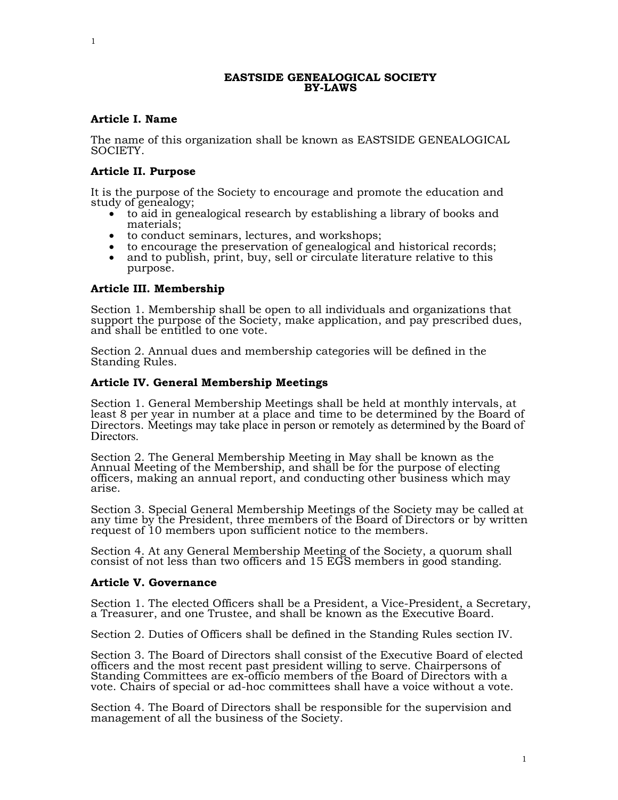### EASTSIDE GENEALOGICAL SOCIETY BY-LAWS

# Article I. Name

The name of this organization shall be known as EASTSIDE GENEALOGICAL SOCIETY.

## Article II. Purpose

It is the purpose of the Society to encourage and promote the education and study of genealogy;

- to aid in genealogical research by establishing a library of books and materials;
- to conduct seminars, lectures, and workshops;
- to encourage the preservation of genealogical and historical records;
- and to publish, print, buy, sell or circulate literature relative to this purpose.

## Article III. Membership

Section 1. Membership shall be open to all individuals and organizations that support the purpose of the Society, make application, and pay prescribed dues, and shall be entitled to one vote.

Section 2. Annual dues and membership categories will be defined in the Standing Rules.

## Article IV. General Membership Meetings

Section 1. General Membership Meetings shall be held at monthly intervals, at least 8 per year in number at a place and time to be determined by the Board of Directors. Meetings may take place in person or remotely as determined by the Board of Directors.

Section 2. The General Membership Meeting in May shall be known as the Annual Meeting of the Membership, and shall be for the purpose of electing officers, making an annual report, and conducting other business which may arise.

Section 3. Special General Membership Meetings of the Society may be called at any time by the President, three members of the Board of Directors or by written request of 10 members upon sufficient notice to the members.

Section 4. At any General Membership Meeting of the Society, a quorum shall consist of not less than two officers and 15 EGS members in good standing.

### Article V. Governance

Section 1. The elected Officers shall be a President, a Vice-President, a Secretary, a Treasurer, and one Trustee, and shall be known as the Executive Board.

Section 2. Duties of Officers shall be defined in the Standing Rules section IV.

Section 3. The Board of Directors shall consist of the Executive Board of elected officers and the most recent past president willing to serve. Chairpersons of Standing Committees are ex-officio members of the Board of Directors with a vote. Chairs of special or ad-hoc committees shall have a voice without a vote.

Section 4. The Board of Directors shall be responsible for the supervision and management of all the business of the Society.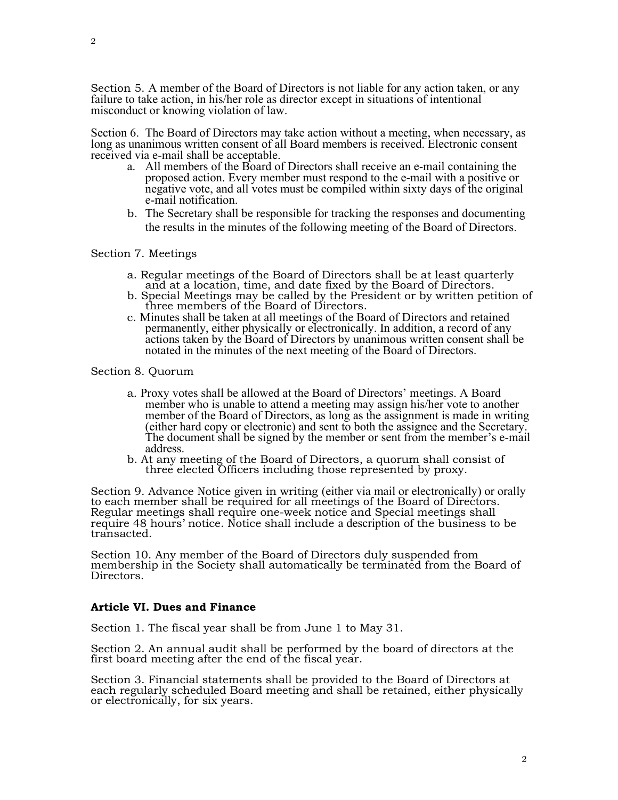Section 6. The Board of Directors may take action without a meeting, when necessary, as long as unanimous written consent of all Board members is received. Electronic consent received via e-mail shall be acceptable.

- a. All members of the Board of Directors shall receive an e-mail containing the proposed action. Every member must respond to the e-mail with a positive or negative vote, and all votes must be compiled within sixty days of the original e-mail notification.
- b. The Secretary shall be responsible for tracking the responses and documenting the results in the minutes of the following meeting of the Board of Directors.

## Section 7. Meetings

- a. Regular meetings of the Board of Directors shall be at least quarterly and at a location, time, and date fixed by the Board of Directors.
- b. Special Meetings may be called by the President or by written petition of three members of the Board of Directors.
- c. Minutes shall be taken at all meetings of the Board of Directors and retained permanently, either physically or electronically. In addition, a record of any actions taken by the Board of Directors by unanimous written consent shall be notated in the minutes of the next meeting of the Board of Directors.

## Section 8. Quorum

- a. Proxy votes shall be allowed at the Board of Directors' meetings. A Board member who is unable to attend a meeting may assign his/her vote to another member of the Board of Directors, as long as the assignment is made in writing (either hard copy or electronic) and sent to both the assignee and the Secretary. The document shall be signed by the member or sent from the member's e-mail address.
- b. At any meeting of the Board of Directors, a quorum shall consist of three elected Officers including those represented by proxy.

Section 9. Advance Notice given in writing (either via mail or electronically) or orally to each member shall be required for all meetings of the Board of Directors. Regular meetings shall require one-week notice and Special meetings shall require 48 hours' notice. Notice shall include a description of the business to be transacted.

Section 10. Any member of the Board of Directors duly suspended from membership in the Society shall automatically be terminated from the Board of Directors.

# Article VI. Dues and Finance

Section 1. The fiscal year shall be from June 1 to May 31.

Section 2. An annual audit shall be performed by the board of directors at the first board meeting after the end of the fiscal year.

Section 3. Financial statements shall be provided to the Board of Directors at each regularly scheduled Board meeting and shall be retained, either physically or electronically, for six years.